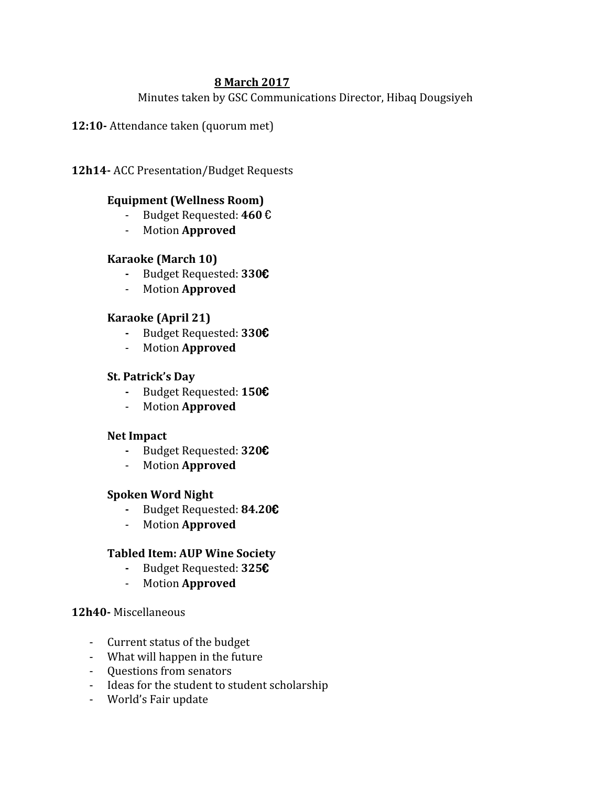### **8 March 2017**

Minutes taken by GSC Communications Director, Hibaq Dougsiyeh

**12:10-** Attendance taken (quorum met)

**12h14-** ACC Presentation/Budget Requests

# **Equipment (Wellness Room)**

- Budget Requested: **460** €
- Motion **Approved**

### **Karaoke (March 10)**

- **-** Budget Requested: **330**€
- Motion **Approved**

### **Karaoke (April 21)**

- **-** Budget Requested: **330**€
- Motion **Approved**

### **St. Patrick's Day**

- **-** Budget Requested: **150**€
- Motion **Approved**

### **Net Impact**

- **-** Budget Requested: **320**€
- Motion **Approved**

### **Spoken Word Night**

- **-** Budget Requested: **84.20**€
- Motion **Approved**

### **Tabled Item: AUP Wine Society**

- **-** Budget Requested: **325**€
- Motion **Approved**

### **12h40-** Miscellaneous

- Current status of the budget
- What will happen in the future
- Questions from senators
- Ideas for the student to student scholarship
- World's Fair update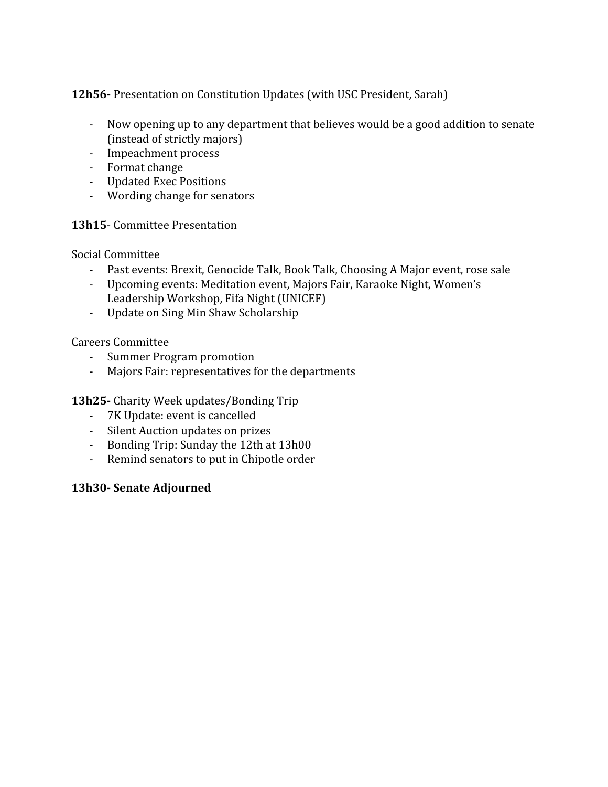**12h56-** Presentation on Constitution Updates (with USC President, Sarah)

- Now opening up to any department that believes would be a good addition to senate (instead of strictly majors)
- Impeachment process
- Format change
- Updated Exec Positions
- Wording change for senators

# **13h15**- Committee Presentation

Social Committee

- Past events: Brexit, Genocide Talk, Book Talk, Choosing A Major event, rose sale
- Upcoming events: Meditation event, Majors Fair, Karaoke Night, Women's Leadership Workshop, Fifa Night (UNICEF)
- Update on Sing Min Shaw Scholarship

Careers Committee

- Summer Program promotion
- Majors Fair: representatives for the departments

**13h25-** Charity Week updates/Bonding Trip

- 7K Update: event is cancelled
- Silent Auction updates on prizes
- Bonding Trip: Sunday the 12th at 13h00
- Remind senators to put in Chipotle order

### **13h30- Senate Adjourned**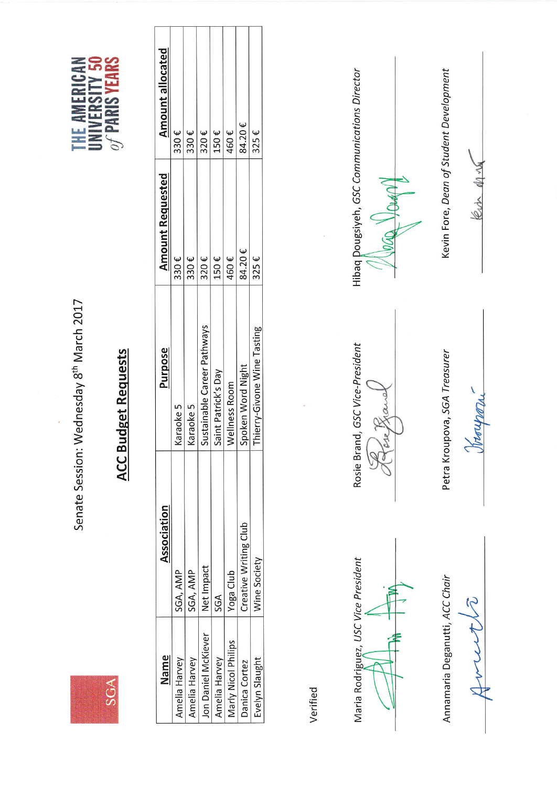SGA

Senate Session: Wednesday 8<sup>th</sup> March 2017



| ζ      |   |
|--------|---|
| d<br>١ |   |
| ø      |   |
|        |   |
| r      |   |
|        |   |
|        |   |
|        | X |
|        |   |
|        |   |
|        |   |

| Name                  | Association                  | Purpose                     | <b>Amount Requested</b> | <b>Amount allocated</b> |
|-----------------------|------------------------------|-----------------------------|-------------------------|-------------------------|
| Amelia Harvey         | SGA, AMP                     | Karaoke 5                   | 330 $\epsilon$          | 330 $\epsilon$          |
| Amelia Harvey         | SGA, AMP                     | Karaoke 5                   | 330€                    | 330 $\epsilon$          |
| Jon Daniel McKiever   | Net Impact                   | Sustainable Career Pathways | 320€                    | 320€                    |
| Amelia Harvey         | SGA                          | Saint Patrick's Day         | 150€                    | $150 \text{ } \epsilon$ |
| Marly Nicol Philips   | Yoga Club                    | Wellness Room               | 460€                    | 460€                    |
| Danica Cortez         | <b>Creative Writing Club</b> | Spoken Word Night           | 84.20€                  | 84.20€                  |
| <b>Lvelyn Slaught</b> | Wine Society                 | Thierry-Givone Wine Tasting | $325 \epsilon$          | $325 \epsilon$          |
|                       |                              |                             |                         |                         |

Verified

Maria Rodriguez, USC Vice President

Annamaria Deganutti, ACC Chair

 $\tilde{\gamma}$ 

Rosie Brand, GSC Vice-President

Petra Kroupova, SGA Treasurer

Loupman

Hibaq Dougsiyeh, GSC Communications Director

Kevin Fore, Dean of Student Development